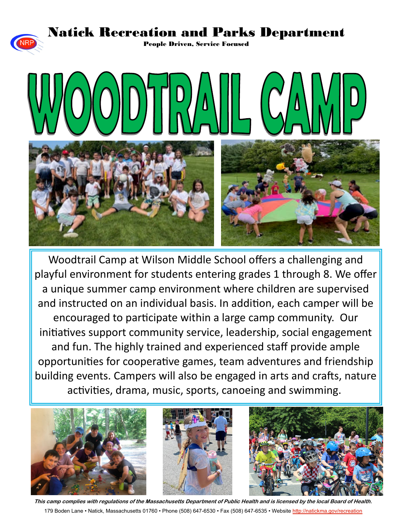#### Natick Recreation and Parks Department

People Driven, Service Focused



Woodtrail Camp at Wilson Middle School offers a challenging and playful environment for students entering grades 1 through 8. We offer a unique summer camp environment where children are supervised and instructed on an individual basis. In addition, each camper will be encouraged to participate within a large camp community. Our initiatives support community service, leadership, social engagement and fun. The highly trained and experienced staff provide ample opportuniƟes for cooperaƟve games, team adventures and friendship building events. Campers will also be engaged in arts and crafts, nature activities, drama, music, sports, canoeing and swimming.



**This camp complies with regulations of the Massachusetts Department of Public Health and is licensed by the local Board of Health.** 179 Boden Lane • Natick, Massachusetts 01760 • Phone (508) 647-6530 • Fax (508) 647-6535 • Website http://natickma.gov/recreation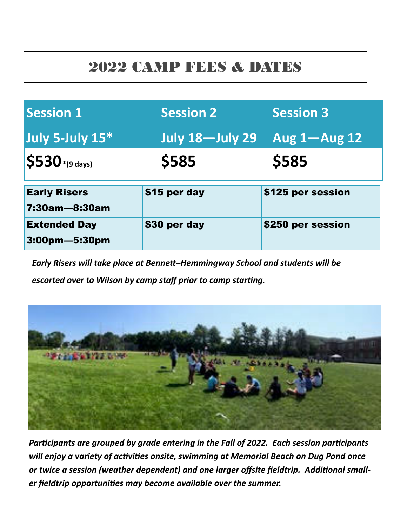#### 2022 CAMP FEES & DATES

| <b>Session 1</b>                     | <b>Session 2</b>       | Session 3          |
|--------------------------------------|------------------------|--------------------|
| July 5-July 15*                      | <b>July 18-July 29</b> | Aug $1 -$ Aug $12$ |
| $\vert$ \$530*(9 days)               | \$585                  | \$585              |
| <b>Early Risers</b><br>7:30am—8:30am | \$15 per day           | \$125 per session  |
| <b>Extended Day</b>                  | \$30 per day           | \$250 per session  |

*Early Risers will take place at BenneƩ–Hemmingway School and students will be escorted over to Wilson by camp staff prior to camp starting.* 



*ParƟcipants are grouped by grade entering in the Fall of 2022. Each session parƟcipants will enjoy a variety of activities onsite, swimming at Memorial Beach on Dug Pond once* **or twice a session (weather dependent) and one larger offsite fieldtrip. Additional small***er fieldtrip opportuniƟes may become available over the summer.*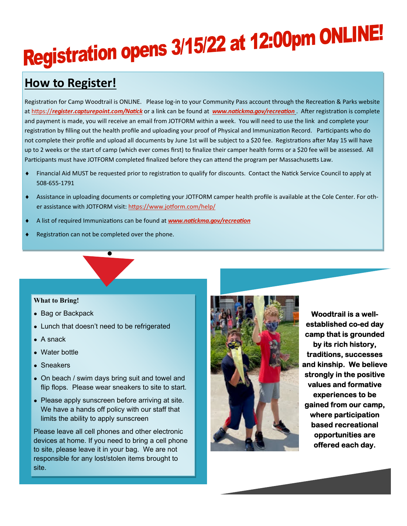# Registration opens 3/15/22 at 12:00pm ONLINE!

#### **How to Register!**

Registration for Camp Woodtrail is ONLINE. Please log-in to your Community Pass account through the Recreation & Parks website at https://register.capturepoint.com/Natick or a link can be found at *www.natickma.gov/recreation* . After registration is complete and payment is made, you will receive an email from JOTFORM within a week. You will need to use the link and complete your registration by filling out the health profile and uploading your proof of Physical and Immunization Record. Participants who do not complete their profile and upload all documents by June 1st will be subject to a \$20 fee. Registrations after May 15 will have up to 2 weeks or the start of camp (which ever comes first) to finalize their camper health forms or a \$20 fee will be assessed. All Participants must have JOTFORM completed finalized before they can attend the program per Massachusetts Law.

- ◆ Financial Aid MUST be requested prior to registration to qualify for discounts. Contact the Natick Service Council to apply at 508‐655‐1791
- Assistance in uploading documents or completing your JOTFORM camper health profile is available at the Cole Center. For other assistance with JOTFORM visit: https://www.jotform.com/help/
- A list of required Immunizations can be found at *www.natickma.gov/recreation*
- Registration can not be completed over the phone.

#### **What to Bring!**

- Bag or Backpack
- Lunch that doesn't need to be refrigerated
- A snack
- Water bottle
- Sneakers
- On beach / swim days bring suit and towel and flip flops. Please wear sneakers to site to start.
- Please apply sunscreen before arriving at site. We have a hands off policy with our staff that limits the ability to apply sunscreen

Please leave all cell phones and other electronic devices at home. If you need to bring a cell phone to site, please leave it in your bag. We are not responsible for any lost/stolen items brought to site.



**Woodtrail is a wellestablished co-ed day camp that is grounded by its rich history, traditions, successes and kinship. We believe strongly in the positive values and formative experiences to be gained from our camp, where participation based recreational opportunities are offered each day.**